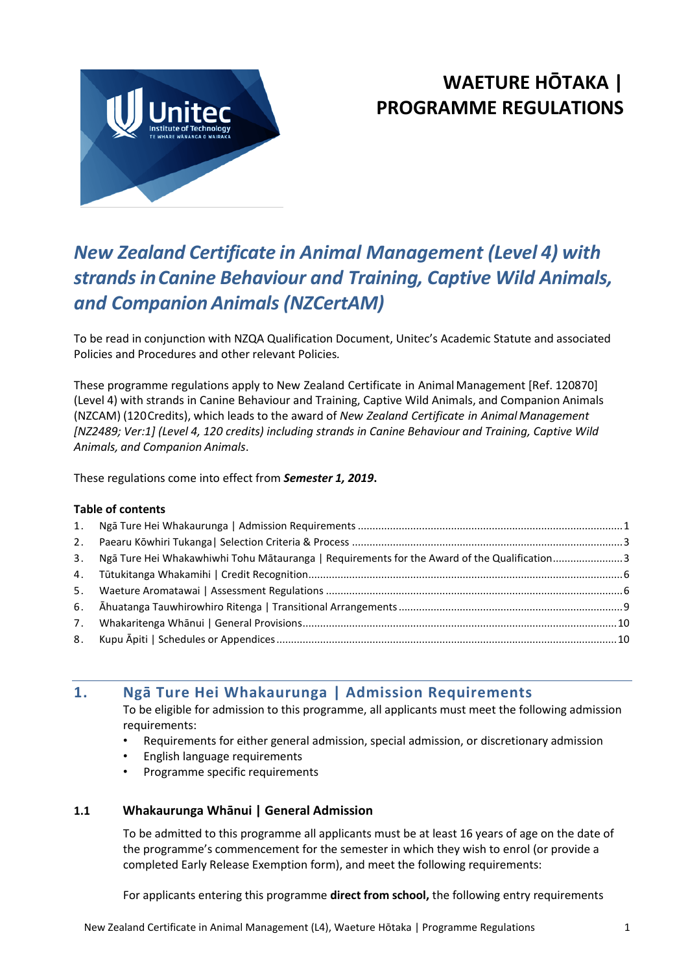

# **WAETURE HŌTAKA | PROGRAMME REGULATIONS**

# *New Zealand Certificate in Animal Management (Level 4) with strandsinCanine Behaviour and Training, Captive Wild Animals, and Companion Animals (NZCertAM)*

To be read in conjunction with NZQA Qualification Document, Unitec's Academic Statute and associated Policies and Procedures and other relevant Policies*.*

These programme regulations apply to New Zealand Certificate in Animal Management [Ref. 120870] (Level 4) with strands in Canine Behaviour and Training, Captive Wild Animals, and Companion Animals (NZCAM) (120Credits), which leads to the award of *New Zealand Certificate in Animal Management [NZ2489; Ver:1] (Level 4, 120 credits) including strands in Canine Behaviour and Training, Captive Wild Animals, and Companion Animals*.

These regulations come into effect from *Semester 1, 2019***.**

#### **Table of contents**

| 3. Ngā Ture Hei Whakawhiwhi Tohu Mātauranga   Requirements for the Award of the Qualification3 |  |
|------------------------------------------------------------------------------------------------|--|
|                                                                                                |  |
|                                                                                                |  |
|                                                                                                |  |
|                                                                                                |  |
|                                                                                                |  |
|                                                                                                |  |

# <span id="page-0-0"></span>**1. Ngā Ture Hei Whakaurunga | Admission Requirements**

To be eligible for admission to this programme, all applicants must meet the following admission requirements:

- Requirements for either general admission, special admission, or discretionary admission
- English language requirements
- Programme specific requirements

# **1.1 Whakaurunga Whānui | General Admission**

To be admitted to this programme all applicants must be at least 16 years of age on the date of the programme's commencement for the semester in which they wish to enrol (or provide a completed Early Release Exemption form), and meet the following requirements:

For applicants entering this programme **direct from school,** the following entry requirements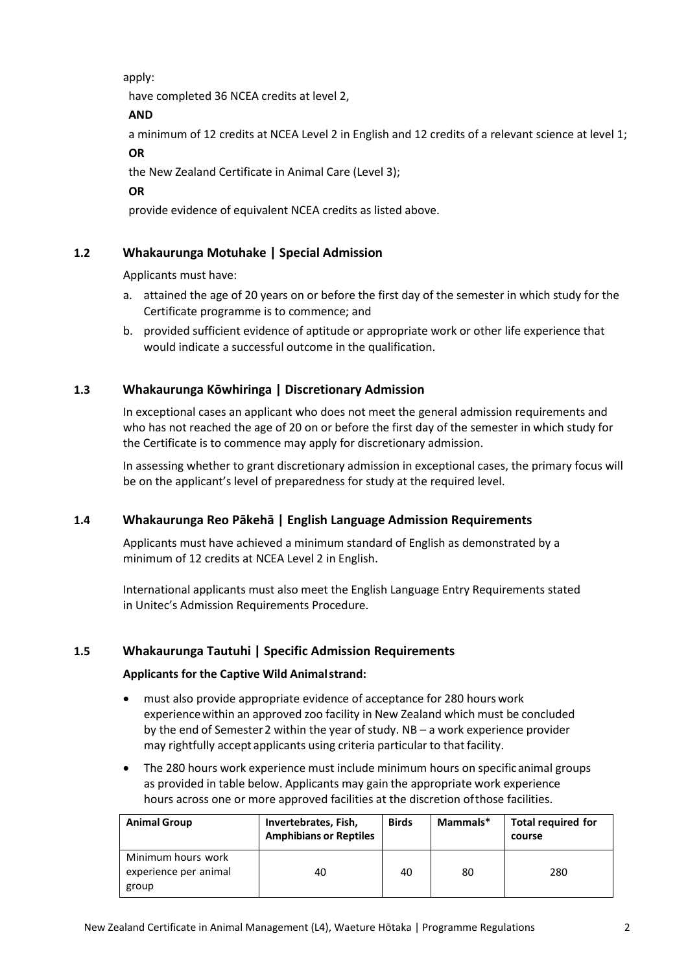apply:

have completed 36 NCEA credits at level 2,

# **AND**

a minimum of 12 credits at NCEA Level 2 in English and 12 credits of a relevant science at level 1;

# **OR**

the New Zealand Certificate in Animal Care (Level 3);

**OR**

provide evidence of equivalent NCEA credits as listed above.

# **1.2 Whakaurunga Motuhake | Special Admission**

Applicants must have:

- a. attained the age of 20 years on or before the first day of the semester in which study for the Certificate programme is to commence; and
- b. provided sufficient evidence of aptitude or appropriate work or other life experience that would indicate a successful outcome in the qualification.

# **1.3 Whakaurunga Kōwhiringa | Discretionary Admission**

In exceptional cases an applicant who does not meet the general admission requirements and who has not reached the age of 20 on or before the first day of the semester in which study for the Certificate is to commence may apply for discretionary admission.

In assessing whether to grant discretionary admission in exceptional cases, the primary focus will be on the applicant's level of preparedness for study at the required level.

# **1.4 Whakaurunga Reo Pākehā | English Language Admission Requirements**

Applicants must have achieved a minimum standard of English as demonstrated by a minimum of 12 credits at NCEA Level 2 in English.

International applicants must also meet the English Language Entry Requirements stated in Unitec's Admission Requirements Procedure.

# **1.5 Whakaurunga Tautuhi | Specific Admission Requirements**

# **Applicants for the Captive Wild Animalstrand:**

- must also provide appropriate evidence of acceptance for 280 hours work experiencewithin an approved zoo facility in New Zealand which must be concluded by the end of Semester2 within the year of study. NB – a work experience provider may rightfully accept applicants using criteria particular to that facility.
- The 280 hours work experience must include minimum hours on specificanimal groups as provided in table below. Applicants may gain the appropriate work experience hours across one or more approved facilities at the discretion ofthose facilities.

| <b>Animal Group</b>                                  | Invertebrates, Fish,<br><b>Amphibians or Reptiles</b> | <b>Birds</b> | Mammals* | <b>Total required for</b><br>course |
|------------------------------------------------------|-------------------------------------------------------|--------------|----------|-------------------------------------|
| Minimum hours work<br>experience per animal<br>group | 40                                                    | 40           | 80       | 280                                 |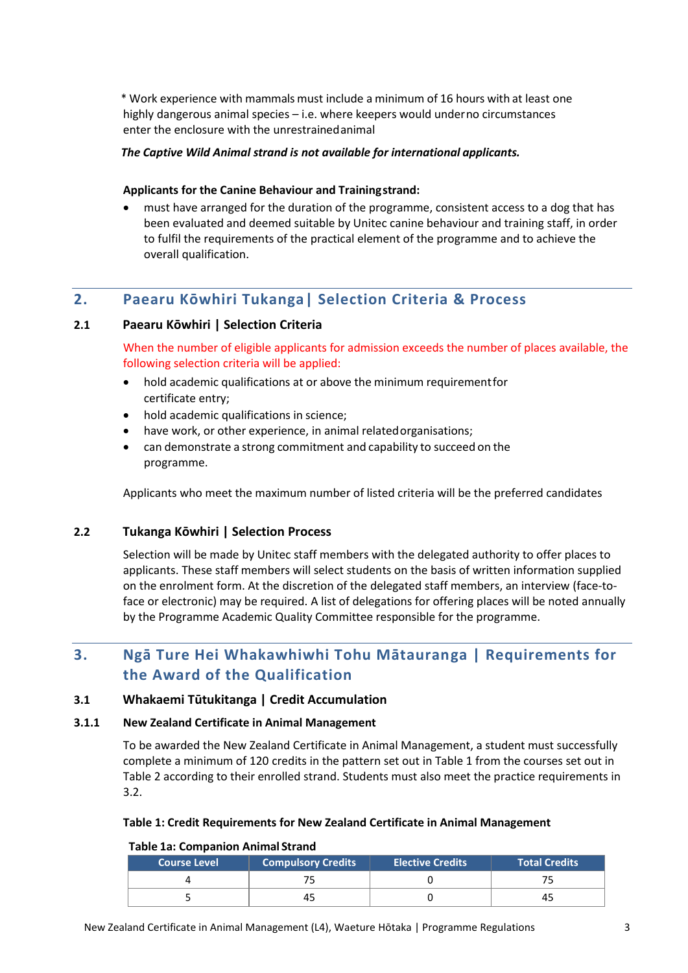\* Work experience with mammals must include a minimum of 16 hours with at least one highly dangerous animal species – i.e. where keepers would underno circumstances enter the enclosure with the unrestrainedanimal

#### *The Captive Wild Animal strand is not available for international applicants.*

#### **Applicants for the Canine Behaviour and Trainingstrand:**

 must have arranged for the duration of the programme, consistent access to a dog that has been evaluated and deemed suitable by Unitec canine behaviour and training staff, in order to fulfil the requirements of the practical element of the programme and to achieve the overall qualification.

# <span id="page-2-0"></span>**2. Paearu Kōwhiri Tukanga| Selection Criteria & Process**

#### **2.1 Paearu Kōwhiri | Selection Criteria**

When the number of eligible applicants for admission exceeds the number of places available, the following selection criteria will be applied:

- hold academic qualifications at or above the minimum requirementfor certificate entry;
- hold academic qualifications in science;
- have work, or other experience, in animal relatedorganisations;
- can demonstrate a strong commitment and capability to succeed on the programme.

Applicants who meet the maximum number of listed criteria will be the preferred candidates

# **2.2 Tukanga Kōwhiri | Selection Process**

Selection will be made by Unitec staff members with the delegated authority to offer places to applicants. These staff members will select students on the basis of written information supplied on the enrolment form. At the discretion of the delegated staff members, an interview (face-toface or electronic) may be required. A list of delegations for offering places will be noted annually by the Programme Academic Quality Committee responsible for the programme.

# <span id="page-2-1"></span>**3. Ngā Ture Hei Whakawhiwhi Tohu Mātauranga | Requirements for the Award of the Qualification**

#### **3.1 Whakaemi Tūtukitanga | Credit Accumulation**

#### **3.1.1 New Zealand Certificate in Animal Management**

To be awarded the New Zealand Certificate in Animal Management, a student must successfully complete a minimum of 120 credits in the pattern set out in Table 1 from the courses set out in Table 2 according to their enrolled strand. Students must also meet the practice requirements in 3.2.

#### **Table 1: Credit Requirements for New Zealand Certificate in Animal Management**

#### **Table 1a: Companion Animal Strand**

| <b>Course Level</b> | <b>Compulsory Credits</b> | <b>Elective Credits</b> | <b>Total Credits</b> |
|---------------------|---------------------------|-------------------------|----------------------|
|                     |                           |                         |                      |
|                     | 45                        |                         | 45                   |

New Zealand Certificate in Animal Management (L4), Waeture Hōtaka | Programme Regulations 3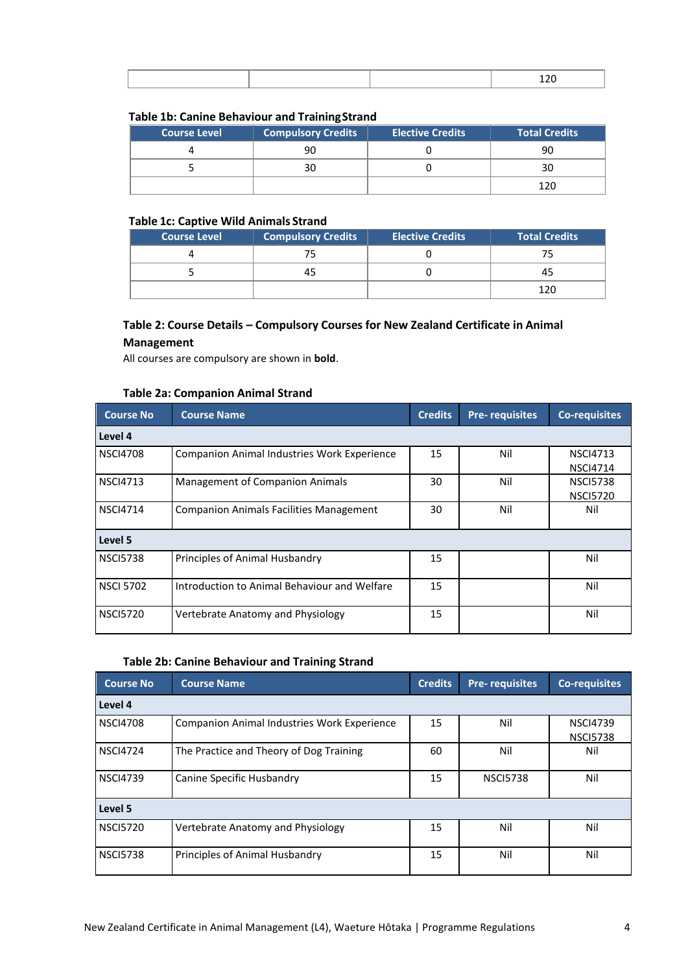#### **Table 1b: Canine Behaviour and TrainingStrand**

|                     | . .                       |                         |                      |
|---------------------|---------------------------|-------------------------|----------------------|
| <b>Course Level</b> | <b>Compulsory Credits</b> | <b>Elective Credits</b> | <b>Total Credits</b> |
|                     | 90                        |                         | 90                   |
|                     | 30                        |                         |                      |
|                     |                           |                         | 120                  |

#### **Table 1c: Captive Wild Animals Strand**

| <b>Course Level</b> | <b>Compulsory Credits</b> | <b>Elective Credits</b> | <b>Total Credits</b> |
|---------------------|---------------------------|-------------------------|----------------------|
|                     |                           |                         |                      |
|                     |                           |                         |                      |
|                     |                           |                         |                      |

# **Table 2: Course Details – Compulsory Courses for New Zealand Certificate in Animal Management**

All courses are compulsory are shown in **bold**.

#### **Table 2a: Companion Animal Strand**

| <b>Course No</b>                                                  | <b>Course Name</b>                                 |    | <b>Pre-requisites</b> | <b>Co-requisites</b>               |  |  |  |  |
|-------------------------------------------------------------------|----------------------------------------------------|----|-----------------------|------------------------------------|--|--|--|--|
| Level 4                                                           |                                                    |    |                       |                                    |  |  |  |  |
| <b>NSCI4708</b>                                                   | <b>Companion Animal Industries Work Experience</b> |    | Nil                   | <b>NSCI4713</b><br><b>NSCI4714</b> |  |  |  |  |
| <b>NSCI4713</b><br>Management of Companion Animals                |                                                    | 30 | Nil                   | <b>NSCI5738</b><br><b>NSCI5720</b> |  |  |  |  |
| <b>NSCI4714</b><br><b>Companion Animals Facilities Management</b> |                                                    | 30 | Nil                   | Nil                                |  |  |  |  |
| Level 5                                                           |                                                    |    |                       |                                    |  |  |  |  |
| <b>NSCI5738</b>                                                   | Principles of Animal Husbandry                     | 15 |                       | Nil                                |  |  |  |  |
| <b>NSCI 5702</b>                                                  | Introduction to Animal Behaviour and Welfare       | 15 |                       | Nil                                |  |  |  |  |
| <b>NSCI5720</b>                                                   | Vertebrate Anatomy and Physiology                  | 15 |                       | Nil                                |  |  |  |  |

#### **Table 2b: Canine Behaviour and Training Strand**

| <b>Course No</b>                             | <b>Course Name</b><br><b>Credits</b>        |    | <b>Pre-requisites</b> | <b>Co-requisites</b>               |  |  |  |  |
|----------------------------------------------|---------------------------------------------|----|-----------------------|------------------------------------|--|--|--|--|
| Level 4                                      |                                             |    |                       |                                    |  |  |  |  |
| <b>NSCI4708</b>                              | Companion Animal Industries Work Experience |    | Nil                   | <b>NSCI4739</b><br><b>NSCI5738</b> |  |  |  |  |
| <b>NSCI4724</b>                              | The Practice and Theory of Dog Training     | 60 | Nil                   | Nil                                |  |  |  |  |
| <b>NSCI4739</b><br>Canine Specific Husbandry |                                             | 15 | <b>NSCI5738</b>       | Nil                                |  |  |  |  |
| Level 5                                      |                                             |    |                       |                                    |  |  |  |  |
| <b>NSCI5720</b>                              | Vertebrate Anatomy and Physiology           | 15 | Nil                   | Nil                                |  |  |  |  |
| <b>NSCI5738</b>                              | Principles of Animal Husbandry              | 15 | Nil                   | Nil                                |  |  |  |  |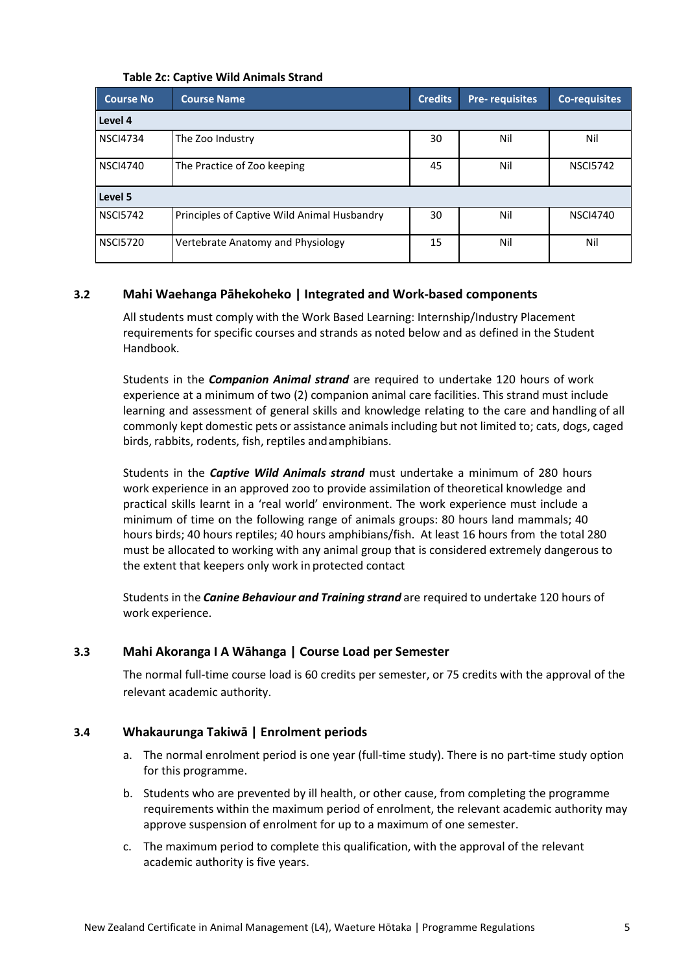#### **Table 2c: Captive Wild Animals Strand**

| <b>Course No</b>                               | <b>Credits</b><br><b>Course Name</b>        |    | <b>Pre-requisites</b> | <b>Co-requisites</b> |  |  |  |
|------------------------------------------------|---------------------------------------------|----|-----------------------|----------------------|--|--|--|
| Level 4                                        |                                             |    |                       |                      |  |  |  |
| <b>NSCI4734</b>                                | The Zoo Industry                            | 30 | Nil                   | Nil                  |  |  |  |
| <b>NSCI4740</b><br>The Practice of Zoo keeping |                                             | 45 | Nil                   | <b>NSCI5742</b>      |  |  |  |
| Level 5                                        |                                             |    |                       |                      |  |  |  |
| <b>NSCI5742</b>                                | Principles of Captive Wild Animal Husbandry | 30 | Nil                   | <b>NSCI4740</b>      |  |  |  |
| <b>NSCI5720</b>                                | Vertebrate Anatomy and Physiology           | 15 | Nil                   | Nil                  |  |  |  |

# **3.2 Mahi Waehanga Pāhekoheko | Integrated and Work-based components**

All students must comply with the Work Based Learning: Internship/Industry Placement requirements for specific courses and strands as noted below and as defined in the Student Handbook.

Students in the *Companion Animal strand* are required to undertake 120 hours of work experience at a minimum of two (2) companion animal care facilities. This strand must include learning and assessment of general skills and knowledge relating to the care and handling of all commonly kept domestic pets or assistance animalsincluding but not limited to; cats, dogs, caged birds, rabbits, rodents, fish, reptiles andamphibians.

Students in the *Captive Wild Animals strand* must undertake a minimum of 280 hours work experience in an approved zoo to provide assimilation of theoretical knowledge and practical skills learnt in a 'real world' environment. The work experience must include a minimum of time on the following range of animals groups: 80 hours land mammals; 40 hours birds; 40 hours reptiles; 40 hours amphibians/fish. At least 16 hours from the total 280 must be allocated to working with any animal group that is considered extremely dangerous to the extent that keepers only work in protected contact

Students in the *Canine Behaviour and Training strand* are required to undertake 120 hours of work experience.

# **3.3 Mahi Akoranga I A Wāhanga | Course Load per Semester**

The normal full-time course load is 60 credits per semester, or 75 credits with the approval of the relevant academic authority.

# **3.4 Whakaurunga Takiwā | Enrolment periods**

- a. The normal enrolment period is one year (full-time study). There is no part-time study option for this programme.
- b. Students who are prevented by ill health, or other cause, from completing the programme requirements within the maximum period of enrolment, the relevant academic authority may approve suspension of enrolment for up to a maximum of one semester.
- c. The maximum period to complete this qualification, with the approval of the relevant academic authority is five years.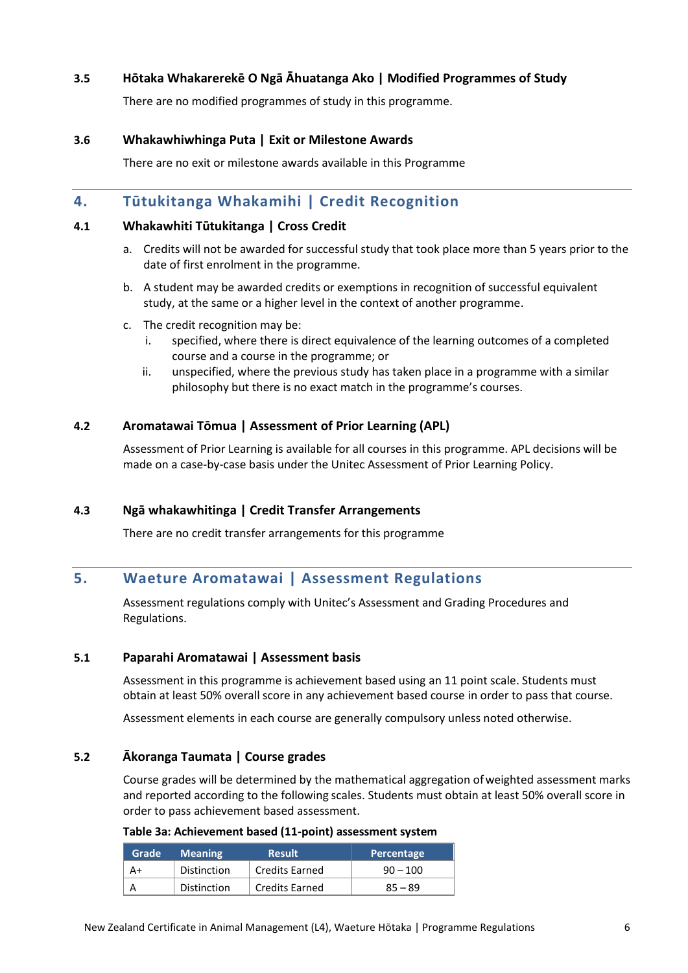# **3.5 Hōtaka Whakarerekē O Ngā Āhuatanga Ako | Modified Programmes of Study**

There are no modified programmes of study in this programme.

#### **3.6 Whakawhiwhinga Puta | Exit or Milestone Awards**

There are no exit or milestone awards available in this Programme

# <span id="page-5-0"></span>**4. Tūtukitanga Whakamihi | Credit Recognition**

#### **4.1 Whakawhiti Tūtukitanga | Cross Credit**

- a. Credits will not be awarded for successful study that took place more than 5 years prior to the date of first enrolment in the programme.
- b. A student may be awarded credits or exemptions in recognition of successful equivalent study, at the same or a higher level in the context of another programme.
- c. The credit recognition may be:
	- i. specified, where there is direct equivalence of the learning outcomes of a completed course and a course in the programme; or
	- ii. unspecified, where the previous study has taken place in a programme with a similar philosophy but there is no exact match in the programme's courses.

#### **4.2 Aromatawai Tōmua | Assessment of Prior Learning (APL)**

Assessment of Prior Learning is available for all courses in this programme. APL decisions will be made on a case-by-case basis under the Unitec Assessmen[t of Prior Learning Policy.](https://unitecnz-my.sharepoint.com/personal/cking2_unitec_ac_nz/projectmanagement/vetnursing/Shared%20Documents/Academic%20Case/Unitec%20Policies/Assessment%20of%20Prior%20Learning%20Policy.pdf)

#### **4.3 Ngā whakawhitinga | Credit Transfer Arrangements**

There are no credit transfer arrangements for this programme

# <span id="page-5-1"></span>**5. Waeture Aromatawai | Assessment Regulations**

Assessment regulations comply with Unitec's Assessment and Grading Procedures and Regulations.

#### **5.1 Paparahi Aromatawai | Assessment basis**

Assessment in this programme is achievement based using an 11 point scale. Students must obtain at least 50% overall score in any achievement based course in order to pass that course.

Assessment elements in each course are generally compulsory unless noted otherwise.

#### **5.2 Ākoranga Taumata | Course grades**

Course grades will be determined by the mathematical aggregation ofweighted assessment marks and reported according to the following scales. Students must obtain at least 50% overall score in order to pass achievement based assessment.

| Grade <b>'</b> | <b>Meaning</b> | <b>Result</b>         | Percentage |
|----------------|----------------|-----------------------|------------|
| A+             | Distinction    | <b>Credits Earned</b> | $90 - 100$ |
|                | Distinction    | <b>Credits Earned</b> | $85 - 89$  |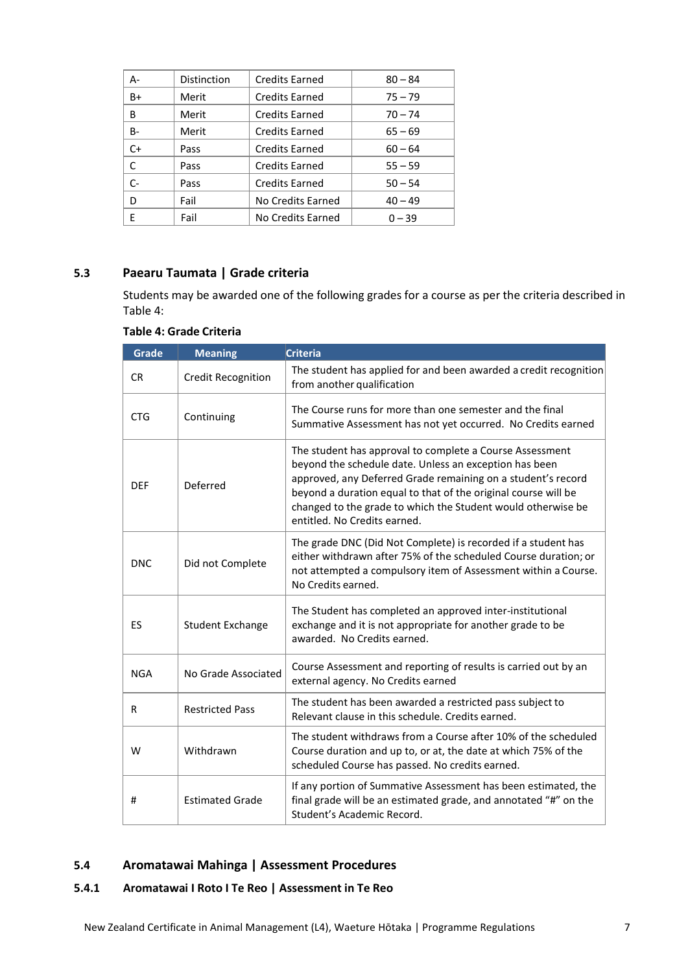| А-   | Distinction | <b>Credits Earned</b> | $80 - 84$ |
|------|-------------|-----------------------|-----------|
| B+   | Merit       | <b>Credits Earned</b> | $75 - 79$ |
| B    | Merit       | <b>Credits Earned</b> | $70 - 74$ |
| B-   | Merit       | <b>Credits Earned</b> | $65 - 69$ |
| $C+$ | Pass        | <b>Credits Earned</b> | $60 - 64$ |
| C    | Pass        | <b>Credits Earned</b> | $55 - 59$ |
| $C-$ | Pass        | <b>Credits Earned</b> | $50 - 54$ |
| D    | Fail        | No Credits Earned     | $40 - 49$ |
| F    | Fail        | No Credits Earned     | $0 - 39$  |

# **5.3 Paearu Taumata | Grade criteria**

Students may be awarded one of the following grades for a course as per the criteria described in Table 4:

| <b>Grade</b> | <b>Meaning</b>            | <b>Criteria</b>                                                                                                                                                                                                                                                                                                                                      |
|--------------|---------------------------|------------------------------------------------------------------------------------------------------------------------------------------------------------------------------------------------------------------------------------------------------------------------------------------------------------------------------------------------------|
| <b>CR</b>    | <b>Credit Recognition</b> | The student has applied for and been awarded a credit recognition<br>from another qualification                                                                                                                                                                                                                                                      |
| <b>CTG</b>   | Continuing                | The Course runs for more than one semester and the final<br>Summative Assessment has not yet occurred. No Credits earned                                                                                                                                                                                                                             |
| <b>DEF</b>   | Deferred                  | The student has approval to complete a Course Assessment<br>beyond the schedule date. Unless an exception has been<br>approved, any Deferred Grade remaining on a student's record<br>beyond a duration equal to that of the original course will be<br>changed to the grade to which the Student would otherwise be<br>entitled. No Credits earned. |
| <b>DNC</b>   | Did not Complete          | The grade DNC (Did Not Complete) is recorded if a student has<br>either withdrawn after 75% of the scheduled Course duration; or<br>not attempted a compulsory item of Assessment within a Course.<br>No Credits earned.                                                                                                                             |
| <b>ES</b>    | <b>Student Exchange</b>   | The Student has completed an approved inter-institutional<br>exchange and it is not appropriate for another grade to be<br>awarded. No Credits earned.                                                                                                                                                                                               |
| <b>NGA</b>   | No Grade Associated       | Course Assessment and reporting of results is carried out by an<br>external agency. No Credits earned                                                                                                                                                                                                                                                |
| R            | <b>Restricted Pass</b>    | The student has been awarded a restricted pass subject to<br>Relevant clause in this schedule. Credits earned.                                                                                                                                                                                                                                       |
| W            | Withdrawn                 | The student withdraws from a Course after 10% of the scheduled<br>Course duration and up to, or at, the date at which 75% of the<br>scheduled Course has passed. No credits earned.                                                                                                                                                                  |
| #            | <b>Estimated Grade</b>    | If any portion of Summative Assessment has been estimated, the<br>final grade will be an estimated grade, and annotated "#" on the<br>Student's Academic Record.                                                                                                                                                                                     |

### **Table 4: Grade Criteria**

#### **5.4 Aromatawai Mahinga | Assessment Procedures**

# **5.4.1 Aromatawai I Roto I Te Reo | Assessment in Te Reo**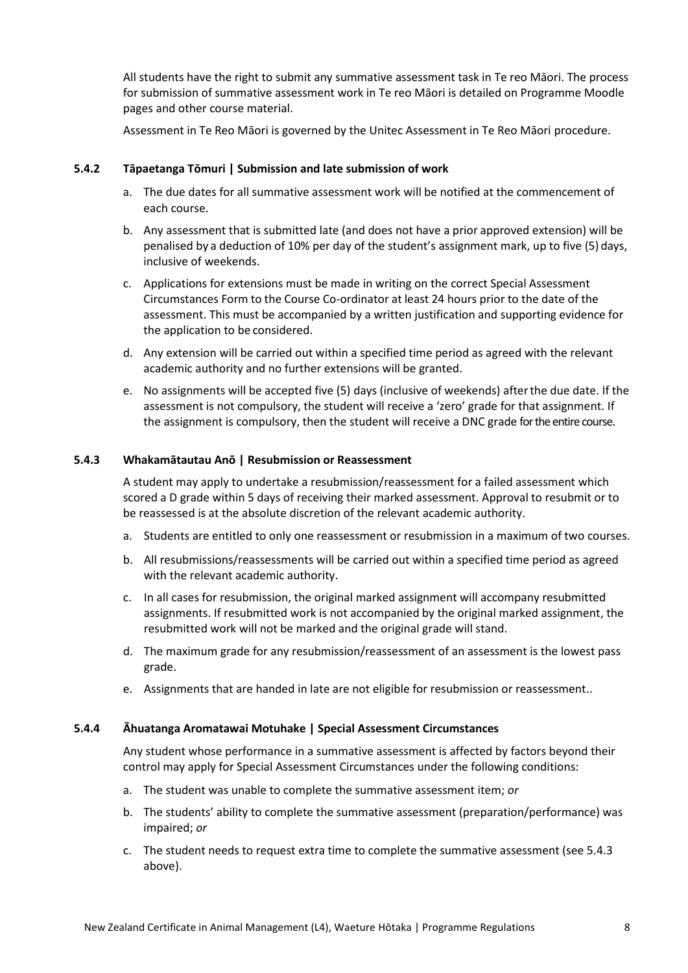All students have the right to submit any summative assessment task in Te reo Māori. The process for submission of summative assessment work in Te reo Māori is detailed on Programme Moodle pages and other course material.

Assessment in Te Reo Māori is governed by the Unitec Assessment in Te Reo Māori procedure.

#### **5.4.2 Tāpaetanga Tōmuri | Submission and late submission of work**

- a. The due dates for all summative assessment work will be notified at the commencement of each course.
- b. Any assessment that is submitted late (and does not have a prior approved extension) will be penalised by a deduction of 10% per day of the student's assignment mark, up to five (5) days, inclusive of weekends.
- c. Applications for extensions must be made in writing on the correct Special Assessment Circumstances Form to the Course Co-ordinator at least 24 hours prior to the date of the assessment. This must be accompanied by a written justification and supporting evidence for the application to be considered.
- d. Any extension will be carried out within a specified time period as agreed with the relevant academic authority and no further extensions will be granted.
- e. No assignments will be accepted five (5) days (inclusive of weekends) afterthe due date. If the assessment is not compulsory, the student will receive a 'zero' grade for that assignment. If the assignment is compulsory, then the student will receive a DNC grade for the entire course.

#### **5.4.3 Whakamātautau Anō | Resubmission or Reassessment**

A student may apply to undertake a resubmission/reassessment for a failed assessment which scored a D grade within 5 days of receiving their marked assessment. Approval to resubmit or to be reassessed is at the absolute discretion of the relevant academic authority.

- a. Students are entitled to only one reassessment or resubmission in a maximum of two courses.
- b. All resubmissions/reassessments will be carried out within a specified time period as agreed with the relevant academic authority.
- c. In all cases for resubmission, the original marked assignment will accompany resubmitted assignments. If resubmitted work is not accompanied by the original marked assignment, the resubmitted work will not be marked and the original grade will stand.
- d. The maximum grade for any resubmission/reassessment of an assessment is the lowest pass grade.
- e. Assignments that are handed in late are not eligible for resubmission or reassessment..

#### **5.4.4 Āhuatanga Aromatawai Motuhake | Special Assessment Circumstances**

Any student whose performance in a summative assessment is affected by factors beyond their control may apply for Special Assessment Circumstances under the following conditions:

- a. The student was unable to complete the summative assessment item; *or*
- b. The students' ability to complete the summative assessment (preparation/performance) was impaired; *or*
- c. The student needs to request extra time to complete the summative assessment (see 5.4.3 above).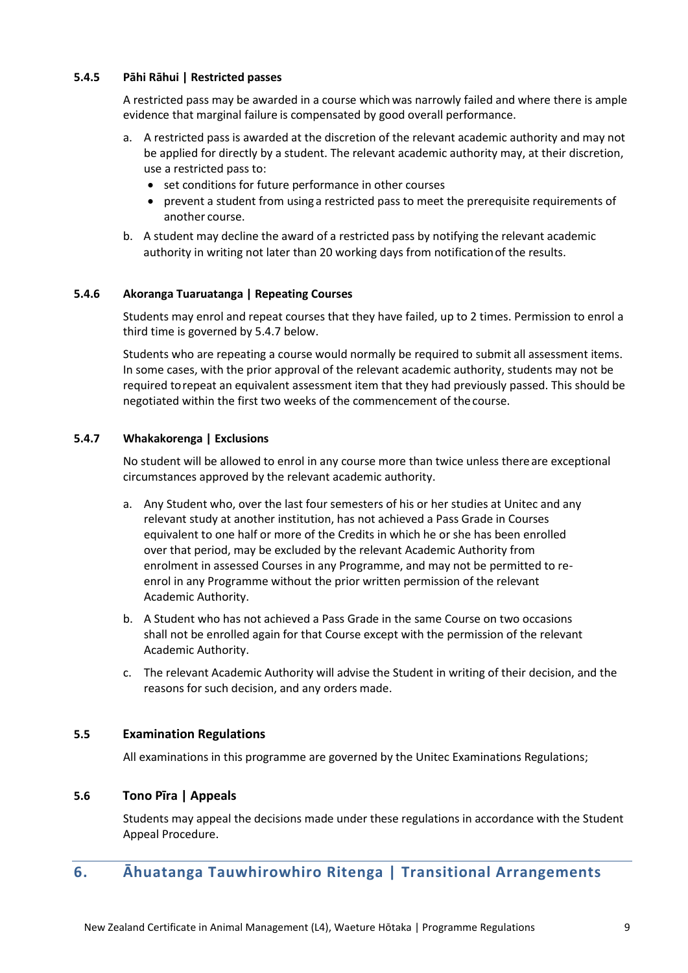#### **5.4.5 Pāhi Rāhui | Restricted passes**

A restricted pass may be awarded in a course whichwas narrowly failed and where there is ample evidence that marginal failure is compensated by good overall performance.

- a. A restricted pass is awarded at the discretion of the relevant academic authority and may not be applied for directly by a student. The relevant academic authority may, at their discretion, use a restricted pass to:
	- set conditions for future performance in other courses
	- prevent a student from using a restricted pass to meet the prerequisite requirements of another course.
- b. A student may decline the award of a restricted pass by notifying the relevant academic authority in writing not later than 20 working days from notificationof the results.

#### **5.4.6 Akoranga Tuaruatanga | Repeating Courses**

Students may enrol and repeat courses that they have failed, up to 2 times. Permission to enrol a third time is governed by 5.4.7 below.

Students who are repeating a course would normally be required to submit all assessment items. In some cases, with the prior approval of the relevant academic authority, students may not be required torepeat an equivalent assessment item that they had previously passed. This should be negotiated within the first two weeks of the commencement of the course.

#### **5.4.7 Whakakorenga | Exclusions**

No student will be allowed to enrol in any course more than twice unless thereare exceptional circumstances approved by the relevant academic authority.

- a. Any Student who, over the last four semesters of his or her studies at Unitec and any relevant study at another institution, has not achieved a Pass Grade in Courses equivalent to one half or more of the Credits in which he or she has been enrolled over that period, may be excluded by the relevant Academic Authority from enrolment in assessed Courses in any Programme, and may not be permitted to reenrol in any Programme without the prior written permission of the relevant Academic Authority.
- b. A Student who has not achieved a Pass Grade in the same Course on two occasions shall not be enrolled again for that Course except with the permission of the relevant Academic Authority.
- c. The relevant Academic Authority will advise the Student in writing of their decision, and the reasons for such decision, and any orders made.

# **5.5 Examination Regulations**

All examinations in this programme are governed by the Unitec Examinations Regulations;

#### **5.6 Tono Pīra | Appeals**

Students may appeal the decisions made under these regulations in accordance with the Student Appeal Procedure.

# <span id="page-8-0"></span>**6. Āhuatanga Tauwhirowhiro Ritenga | Transitional Arrangements**